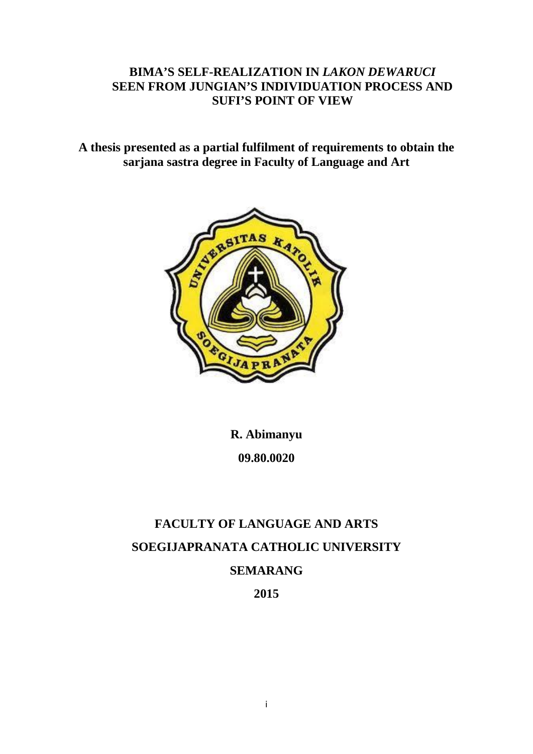### **BIMA'S SELF-REALIZATION IN** *LAKON DEWARUCI* **SEEN FROM JUNGIAN'S INDIVIDUATION PROCESS AND SUFI'S POINT OF VIEW**

**A thesis presented as a partial fulfilment of requirements to obtain the sarjana sastra degree in Faculty of Language and Art**



**R. Abimanyu 09.80.0020**

# **FACULTY OF LANGUAGE AND ARTS SOEGIJAPRANATA CATHOLIC UNIVERSITY SEMARANG**

**2015**

i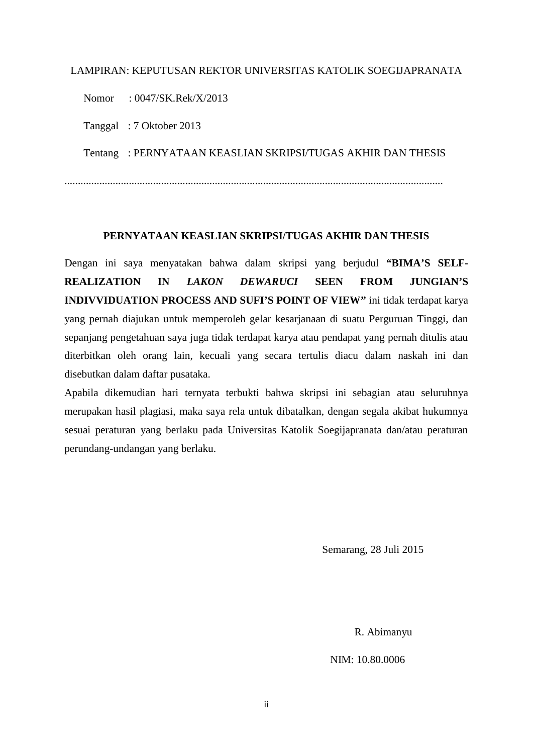#### LAMPIRAN: KEPUTUSAN REKTOR UNIVERSITAS KATOLIK SOEGIJAPRANATA

Nomor : 0047/SK.Rek/X/2013

Tanggal : 7 Oktober 2013

Tentang : PERNYATAAN KEASLIAN SKRIPSI/TUGAS AKHIR DAN THESIS

.............................................................................................................................................

#### **PERNYATAAN KEASLIAN SKRIPSI/TUGAS AKHIR DAN THESIS**

Dengan ini saya menyatakan bahwa dalam skripsi yang berjudul **"BIMA'S SELF- REALIZATION IN** *LAKON DEWARUCI* **SEEN FROM JUNGIAN'S INDIVVIDUATION PROCESS AND SUFI'S POINT OF VIEW"** ini tidak terdapat karya yang pernah diajukan untuk memperoleh gelar kesarjanaan di suatu Perguruan Tinggi, dan sepanjang pengetahuan saya juga tidak terdapat karya atau pendapat yang pernah ditulis atau diterbitkan oleh orang lain, kecuali yang secara tertulis diacu dalam naskah ini dan disebutkan dalam daftar pusataka.

Apabila dikemudian hari ternyata terbukti bahwa skripsi ini sebagian atau seluruhnya merupakan hasil plagiasi, maka saya rela untuk dibatalkan, dengan segala akibat hukumnya sesuai peraturan yang berlaku pada Universitas Katolik Soegijapranata dan/atau peraturan perundang-undangan yang berlaku.

Semarang, 28 Juli 2015

R. Abimanyu

NIM: 10.80.0006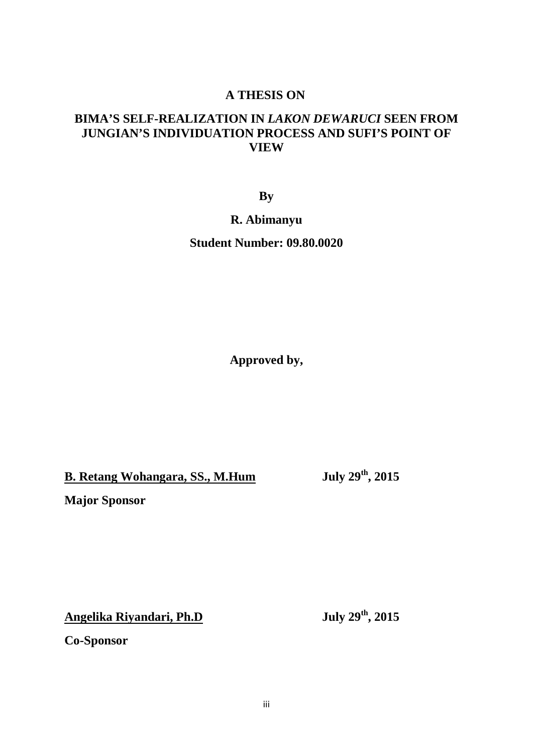#### **A THESIS ON**

# **BIMA'S SELF-REALIZATION IN** *LAKON DEWARUCI* **SEEN FROM JUNGIAN'S INDIVIDUATION PROCESS AND SUFI'S POINT OF VIEW**

**By**

# **R. Abimanyu**

### **Student Number: 09.80.0020**

**Approved by,**

**B. Retang Wohangara, SS., M.Hum** 

**th, 2015**

**Major Sponsor**

**Angelika Riyandari, Ph.D** 

**th, 2015**

**Co-Sponsor**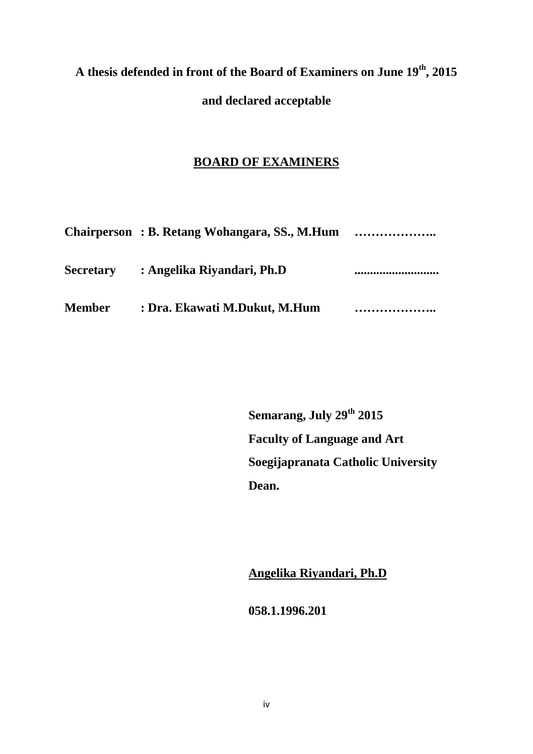# **A thesis defended in front of the Board of Examiners on June 19th, 2015 and declared acceptable**

# **BOARD OF EXAMINERS**

|                  | Chairperson : B. Retang Wohangara, SS., M.Hum |  |
|------------------|-----------------------------------------------|--|
| <b>Secretary</b> | : Angelika Riyandari, Ph.D                    |  |
| <b>Member</b>    | : Dra. Ekawati M.Dukut, M.Hum                 |  |

**Semarang, July 29th 2015 Faculty of Language and Art Soegijapranata Catholic University Dean.**

**Angelika Riyandari, Ph.D**

**058.1.1996.201**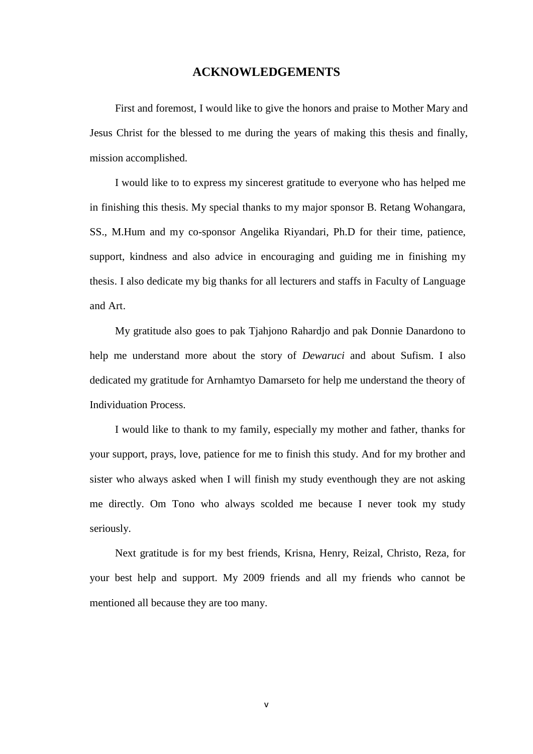#### **ACKNOWLEDGEMENTS**

First and foremost, I would like to give the honors and praise to Mother Mary and Jesus Christ for the blessed to me during the years of making this thesis and finally, mission accomplished.

I would like to to express my sincerest gratitude to everyone who has helped me in finishing this thesis. My special thanks to my major sponsor B. Retang Wohangara, SS., M.Hum and my co-sponsor Angelika Riyandari, Ph.D for their time, patience, support, kindness and also advice in encouraging and guiding me in finishing my thesis. I also dedicate my big thanks for all lecturers and staffs in Faculty of Language and Art.

My gratitude also goes to pak Tjahjono Rahardjo and pak Donnie Danardono to help me understand more about the story of *Dewaruci* and about Sufism. I also dedicated my gratitude for Arnhamtyo Damarseto for help me understand the theory of Individuation Process.

I would like to thank to my family, especially my mother and father, thanks for your support, prays, love, patience for me to finish this study. And for my brother and sister who always asked when I will finish my study eventhough they are not asking me directly. Om Tono who always scolded me because I never took my study seriously.

Next gratitude is for my best friends, Krisna, Henry, Reizal, Christo, Reza, for your best help and support. My 2009 friends and all my friends who cannot be mentioned all because they are too many.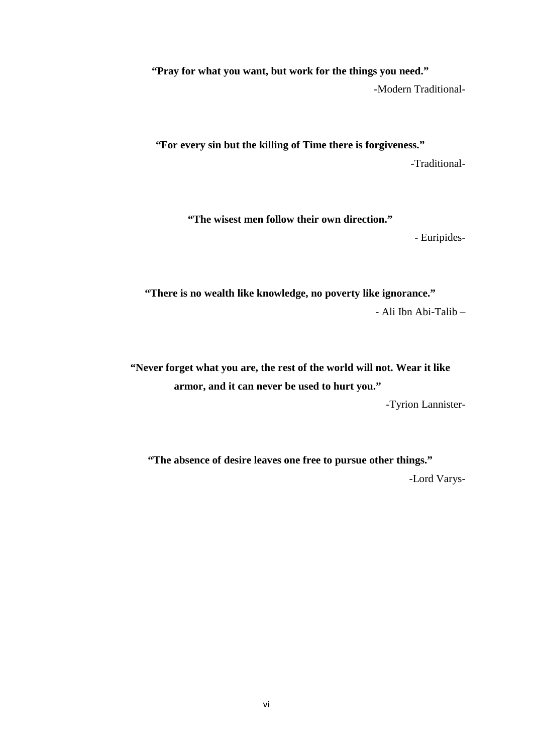**"Pray for what you want, but work for the things you need."** -Modern Traditional-

**"For every sin but the killing of Time there is forgiveness."** -Traditional-

**"The wisest men follow their own direction."**

- Euripides-

**"There is no wealth like knowledge, no poverty like ignorance."** - Ali Ibn Abi-Talib –

**"Never forget what you are, the rest of the world will not. Wear it like armor, and it can never be used to hurt you."**

-Tyrion Lannister-

**"The absence of desire leaves one free to pursue other things."** -Lord Varys-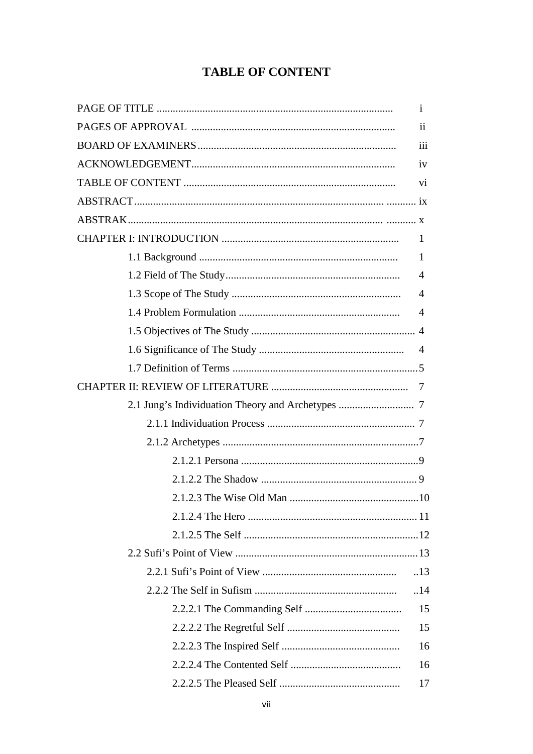# **TABLE OF CONTENT**

|  | Ť                       |
|--|-------------------------|
|  | $\overline{\mathbf{u}}$ |
|  | iii                     |
|  | iv                      |
|  | V <sub>i</sub>          |
|  |                         |
|  |                         |
|  | -1                      |
|  | 1                       |
|  | 4                       |
|  | 4                       |
|  | 4                       |
|  |                         |
|  |                         |
|  |                         |
|  |                         |
|  |                         |
|  |                         |
|  |                         |
|  |                         |
|  |                         |
|  |                         |
|  |                         |
|  |                         |
|  |                         |
|  |                         |
|  | .14                     |
|  | 15                      |
|  | 15                      |
|  | 16                      |
|  | 16                      |
|  | 17                      |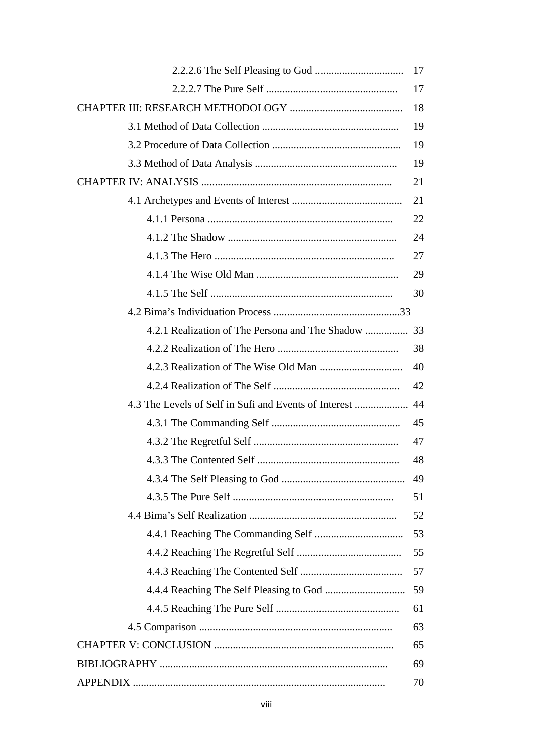|  | 17 |  |
|--|----|--|
|  | 18 |  |
|  | 19 |  |
|  | 19 |  |
|  | 19 |  |
|  |    |  |
|  | 21 |  |
|  | 22 |  |
|  | 24 |  |
|  | 27 |  |
|  | 29 |  |
|  | 30 |  |
|  |    |  |
|  |    |  |
|  | 38 |  |
|  | 40 |  |
|  | 42 |  |
|  |    |  |
|  | 45 |  |
|  | 47 |  |
|  | 48 |  |
|  | 49 |  |
|  | 51 |  |
|  | 52 |  |
|  | 53 |  |
|  | 55 |  |
|  | 57 |  |
|  | 59 |  |
|  | 61 |  |
|  | 63 |  |
|  |    |  |
|  |    |  |
|  | 70 |  |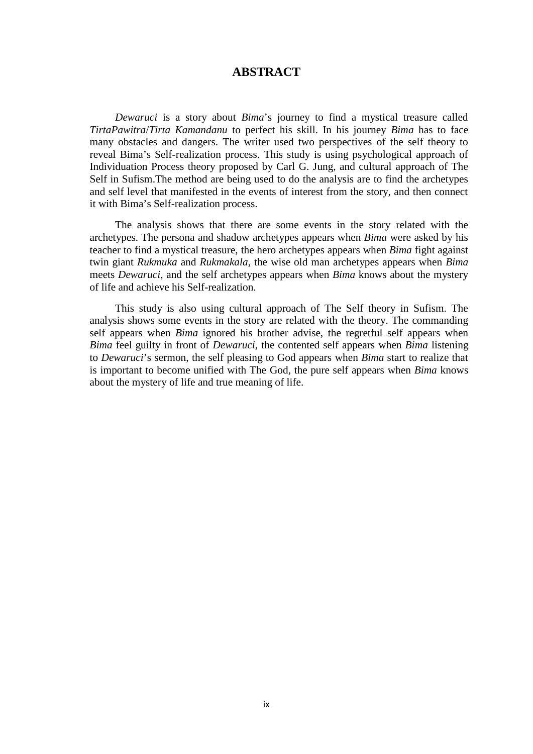#### **ABSTRACT**

*Dewaruci* is a story about *Bima*'s journey to find a mystical treasure called *TirtaPawitra*/*Tirta Kamandanu* to perfect his skill. In his journey *Bima* has to face many obstacles and dangers. The writer used two perspectives of the self theory to reveal Bima's Self-realization process. This study is using psychological approach of Individuation Process theory proposed by Carl G. Jung, and cultural approach of The Self in Sufism.The method are being used to do the analysis are to find the archetypes and self level that manifested in the events of interest from the story, and then connect it with Bima's Self-realization process.

The analysis shows that there are some events in the story related with the archetypes. The persona and shadow archetypes appears when *Bima* were asked by his teacher to find a mystical treasure, the hero archetypes appears when *Bima* fight against twin giant *Rukmuka* and *Rukmakala*, the wise old man archetypes appears when *Bima* meets *Dewaruci*, and the self archetypes appears when *Bima* knows about the mystery of life and achieve his Self-realization.

This study is also using cultural approach of The Self theory in Sufism. The analysis shows some events in the story are related with the theory. The commanding self appears when *Bima* ignored his brother advise, the regretful self appears when *Bima* feel guilty in front of *Dewaruci*, the contented self appears when *Bima* listening to *Dewaruci*'s sermon, the self pleasing to God appears when *Bima* start to realize that is important to become unified with The God, the pure self appears when *Bima* knows about the mystery of life and true meaning of life.